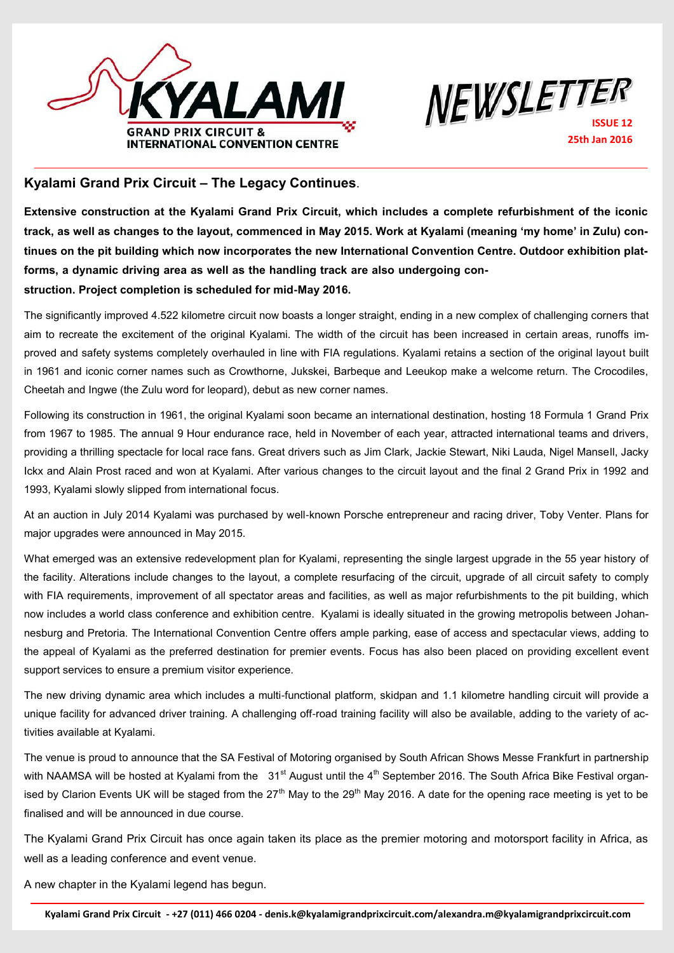



## **Kyalami Grand Prix Circuit – The Legacy Continues**.

**Extensive construction at the Kyalami Grand Prix Circuit, which includes a complete refurbishment of the iconic track, as well as changes to the layout, commenced in May 2015. Work at Kyalami (meaning 'my home' in Zulu) continues on the pit building which now incorporates the new International Convention Centre. Outdoor exhibition platforms, a dynamic driving area as well as the handling track are also undergoing construction. Project completion is scheduled for mid-May 2016.** 

The significantly improved 4.522 kilometre circuit now boasts a longer straight, ending in a new complex of challenging corners that aim to recreate the excitement of the original Kyalami. The width of the circuit has been increased in certain areas, runoffs improved and safety systems completely overhauled in line with FIA regulations. Kyalami retains a section of the original layout built in 1961 and iconic corner names such as Crowthorne, Jukskei, Barbeque and Leeukop make a welcome return. The Crocodiles, Cheetah and Ingwe (the Zulu word for leopard), debut as new corner names.

Following its construction in 1961, the original Kyalami soon became an international destination, hosting 18 Formula 1 Grand Prix from 1967 to 1985. The annual 9 Hour endurance race, held in November of each year, attracted international teams and drivers, providing a thrilling spectacle for local race fans. Great drivers such as Jim Clark, Jackie Stewart, Niki Lauda, Nigel Mansell, Jacky Ickx and Alain Prost raced and won at Kyalami. After various changes to the circuit layout and the final 2 Grand Prix in 1992 and 1993, Kyalami slowly slipped from international focus.

At an auction in July 2014 Kyalami was purchased by well-known Porsche entrepreneur and racing driver, Toby Venter. Plans for major upgrades were announced in May 2015.

What emerged was an extensive redevelopment plan for Kyalami, representing the single largest upgrade in the 55 year history of the facility. Alterations include changes to the layout, a complete resurfacing of the circuit, upgrade of all circuit safety to comply with FIA requirements, improvement of all spectator areas and facilities, as well as major refurbishments to the pit building, which now includes a world class conference and exhibition centre. Kyalami is ideally situated in the growing metropolis between Johannesburg and Pretoria. The International Convention Centre offers ample parking, ease of access and spectacular views, adding to the appeal of Kyalami as the preferred destination for premier events. Focus has also been placed on providing excellent event support services to ensure a premium visitor experience.

The new driving dynamic area which includes a multi-functional platform, skidpan and 1.1 kilometre handling circuit will provide a unique facility for advanced driver training. A challenging off-road training facility will also be available, adding to the variety of activities available at Kyalami.

The venue is proud to announce that the SA Festival of Motoring organised by South African Shows Messe Frankfurt in partnership with NAAMSA will be hosted at Kyalami from the  $31<sup>st</sup>$  August until the 4<sup>th</sup> September 2016. The South Africa Bike Festival organised by Clarion Events UK will be staged from the 27<sup>th</sup> May to the 29<sup>th</sup> May 2016. A date for the opening race meeting is vet to be finalised and will be announced in due course.

The Kyalami Grand Prix Circuit has once again taken its place as the premier motoring and motorsport facility in Africa, as well as a leading conference and event venue.

A new chapter in the Kyalami legend has begun.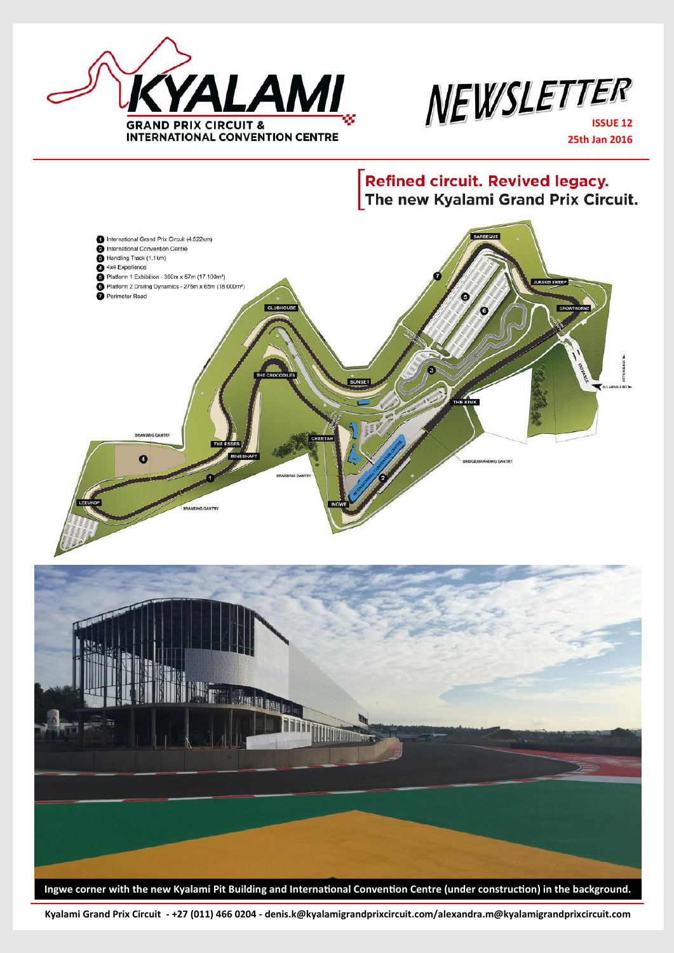



**25th Jan 2016**

**Refined circuit. Revived legacy.** The new Kyalami Grand Prix Circuit.



**Kyalami Grand Prix Circuit - +27 (011) 466 0204 - denis.k@kyalamigrandprixcircuit.com/alexandra.m@kyalamigrandprixcircuit.com**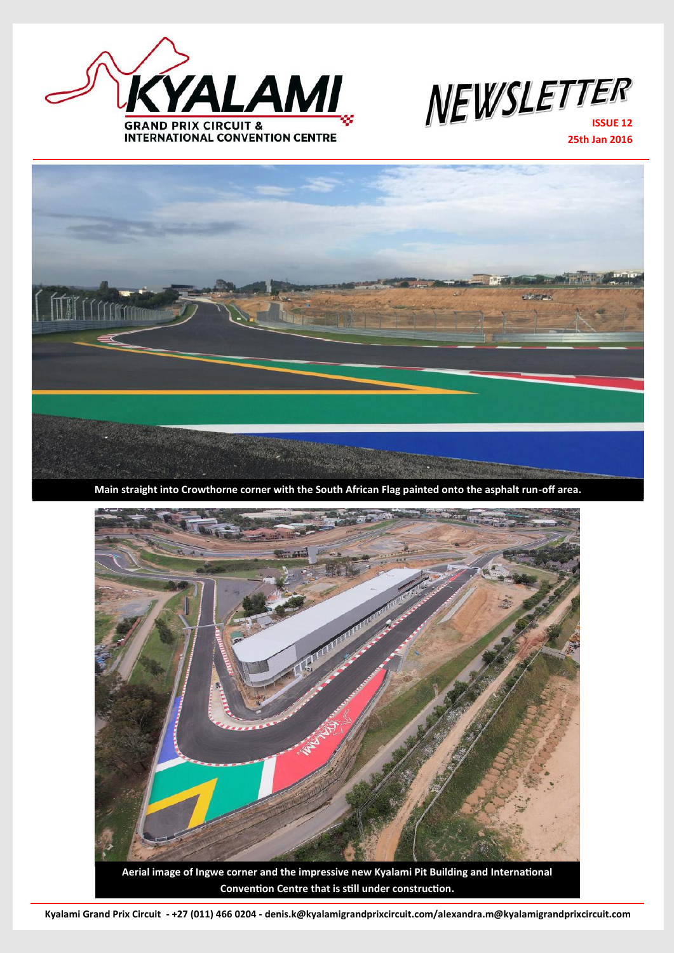



**25th Jan 2016**



**Main straight into Crowthorne corner with the South African Flag painted onto the asphalt run-off area.**



**Kyalami Grand Prix Circuit - +27 (011) 466 0204 - denis.k@kyalamigrandprixcircuit.com/alexandra.m@kyalamigrandprixcircuit.com**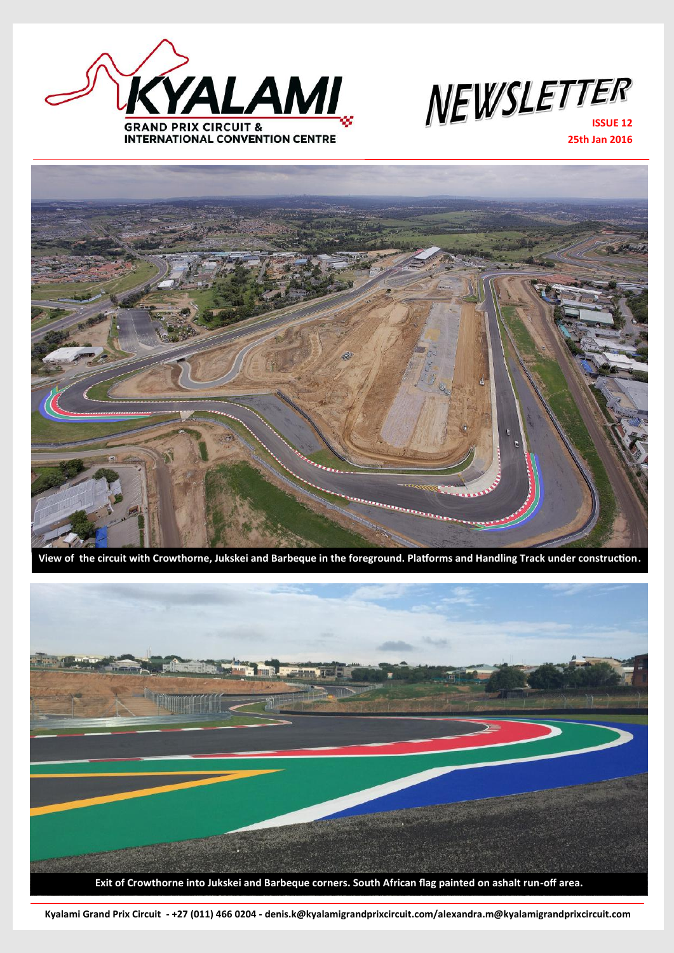



**25th Jan 2016**



**View of the circuit with Crowthorne, Jukskei and Barbeque in the foreground. Platforms and Handling Track under construction.**



**Kyalami Grand Prix Circuit - +27 (011) 466 0204 - denis.k@kyalamigrandprixcircuit.com/alexandra.m@kyalamigrandprixcircuit.com**